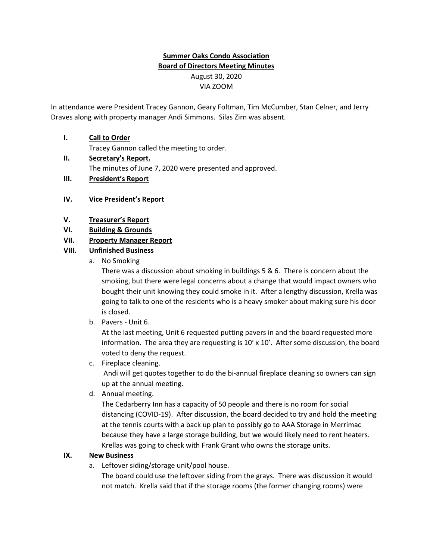# Summer Oaks Condo Association Board of Directors Meeting Minutes August 30, 2020 VIA ZOOM

In attendance were President Tracey Gannon, Geary Foltman, Tim McCumber, Stan Celner, and Jerry Draves along with property manager Andi Simmons. Silas Zirn was absent.

# I. Call to Order

Tracey Gannon called the meeting to order.

- II. Secretary's Report. The minutes of June 7, 2020 were presented and approved.
- III. President's Report

## IV. Vice President's Report

#### V. Treasurer's Report

VI. Building & Grounds

## VII. Property Manager Report

## VIII. Unfinished Business

a. No Smoking

There was a discussion about smoking in buildings 5 & 6. There is concern about the smoking, but there were legal concerns about a change that would impact owners who bought their unit knowing they could smoke in it. After a lengthy discussion, Krella was going to talk to one of the residents who is a heavy smoker about making sure his door is closed.

b. Pavers - Unit 6.

At the last meeting, Unit 6 requested putting pavers in and the board requested more information. The area they are requesting is  $10'$  x  $10'$ . After some discussion, the board voted to deny the request.

c. Fireplace cleaning.

 Andi will get quotes together to do the bi-annual fireplace cleaning so owners can sign up at the annual meeting.

d. Annual meeting.

The Cedarberry Inn has a capacity of 50 people and there is no room for social distancing (COVID-19). After discussion, the board decided to try and hold the meeting at the tennis courts with a back up plan to possibly go to AAA Storage in Merrimac because they have a large storage building, but we would likely need to rent heaters. Krellas was going to check with Frank Grant who owns the storage units.

#### IX. New Business

a. Leftover siding/storage unit/pool house.

The board could use the leftover siding from the grays. There was discussion it would not match. Krella said that if the storage rooms (the former changing rooms) were